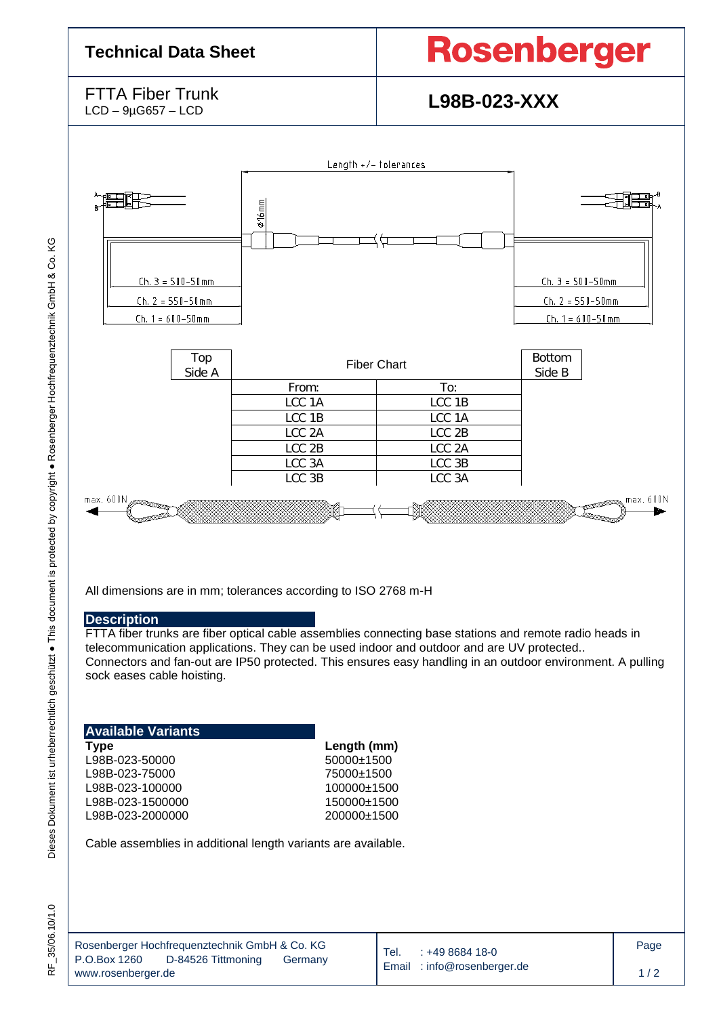### **Technical Data Sheet**

# **Rosenberger**

FTTA Fiber Trunk<br>LCD – 9µG657 – LCD

## L98B-023-XXX



All dimensions are in mm; tolerances according to ISO 2768 m-H

#### **Description**

FTTA fiber trunks are fiber optical cable assemblies connecting base stations and remote radio heads in telecommunication applications. They can be used indoor and outdoor and are UV protected.. Connectors and fan-out are IP50 protected. This ensures easy handling in an outdoor environment. A pulling sock eases cable hoisting.

| Available Variants |  |
|--------------------|--|
| Type               |  |
| L98B-023-50000     |  |
| L98B-023-75000     |  |
| L98B-023-100000    |  |
| L98B-023-1500000   |  |
| L98B-023-2000000   |  |
|                    |  |

**Type Length (mm)**  $50000+1500$ L98B-023-75000 75000±1500 100000±1500 150000±1500 200000±1500

Cable assemblies in additional length variants are available.

 $\overline{\phantom{a}}$ 

ΚG

| Rosenberger Hochfrequenztechnik GmbH & Co. KG |                    |         |  |  |  |  |  |  |
|-----------------------------------------------|--------------------|---------|--|--|--|--|--|--|
| P.O.Box 1260                                  | D-84526 Tittmoning | Germany |  |  |  |  |  |  |
| www.rosenberger.de                            |                    |         |  |  |  |  |  |  |

Tel. : +49 8684 18-0 Email : [info@rosenberger.de](mailto:info@rosenberger.de)